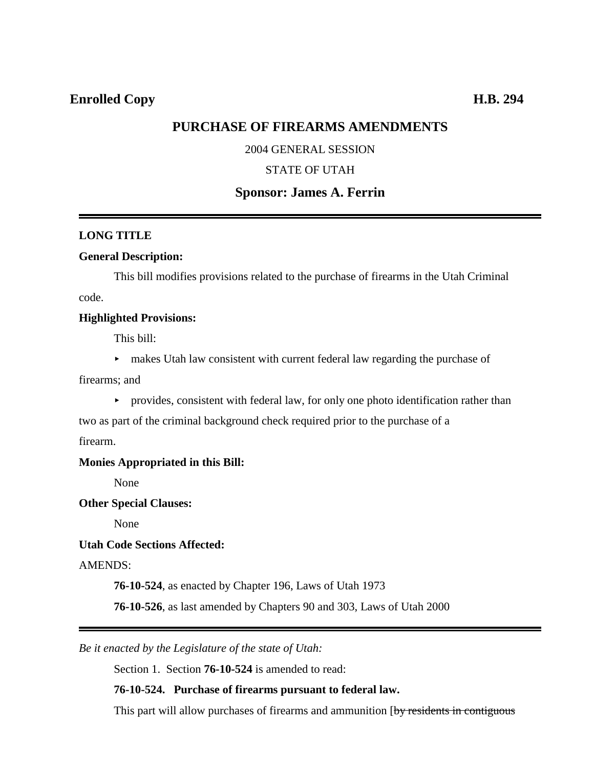# **PURCHASE OF FIREARMS AMENDMENTS**

### 2004 GENERAL SESSION

### STATE OF UTAH

# **Sponsor: James A. Ferrin**

#### **LONG TITLE**

### **General Description:**

This bill modifies provisions related to the purchase of firearms in the Utah Criminal code.

#### **Highlighted Provisions:**

This bill:

< makes Utah law consistent with current federal law regarding the purchase of

firearms; and

 $\rightarrow$  provides, consistent with federal law, for only one photo identification rather than

two as part of the criminal background check required prior to the purchase of a

firearm.

#### **Monies Appropriated in this Bill:**

None

#### **Other Special Clauses:**

None

### **Utah Code Sections Affected:**

AMENDS:

**76-10-524**, as enacted by Chapter 196, Laws of Utah 1973

**76-10-526**, as last amended by Chapters 90 and 303, Laws of Utah 2000

*Be it enacted by the Legislature of the state of Utah:*

Section 1. Section **76-10-524** is amended to read:

## **76-10-524. Purchase of firearms pursuant to federal law.**

This part will allow purchases of firearms and ammunition [by residents in contiguous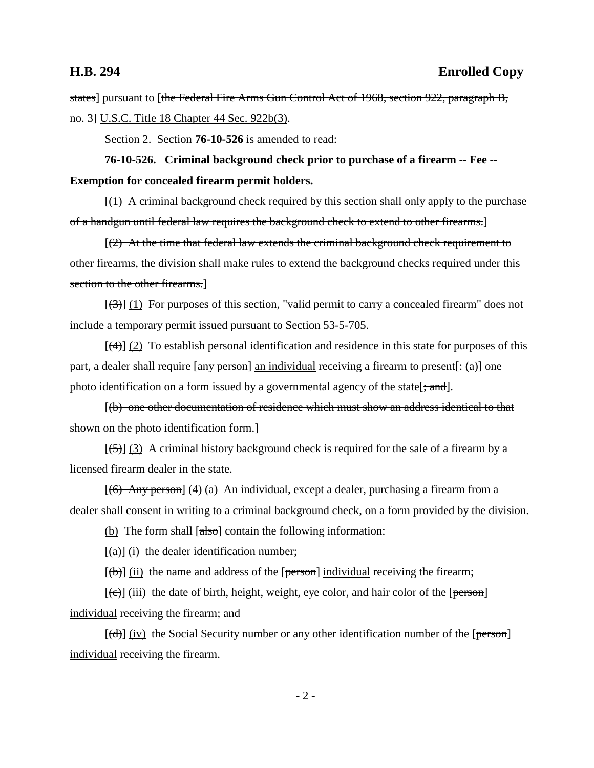## **H.B. 294 Enrolled Copy**

states] pursuant to [the Federal Fire Arms Gun Control Act of 1968, section 922, paragraph B, no. 3] U.S.C. Title 18 Chapter 44 Sec. 922b(3).

Section 2. Section **76-10-526** is amended to read:

**76-10-526. Criminal background check prior to purchase of a firearm -- Fee -- Exemption for concealed firearm permit holders.**

 $[(1)$  A criminal background check required by this section shall only apply to the purchase of a handgun until federal law requires the background check to extend to other firearms.]

 $(2)$  At the time that federal law extends the criminal background check requirement to other firearms, the division shall make rules to extend the background checks required under this section to the other firearms.]

 $[\langle 3\rangle]$  (1) For purposes of this section, "valid permit to carry a concealed firearm" does not include a temporary permit issued pursuant to Section 53-5-705.

 $[(4)] (2)$  To establish personal identification and residence in this state for purposes of this part, a dealer shall require  $[\text{any person}]$  an individual receiving a firearm to present $[\cdot(\alpha)]$  one photo identification on a form issued by a governmental agency of the state[ $\div$ and].

[(b) one other documentation of residence which must show an address identical to that shown on the photo identification form.]

 $[\frac{(-1)}{2}]$  (3) A criminal history background check is required for the sale of a firearm by a licensed firearm dealer in the state.

[(6) Any person] (4) (a) An individual, except a dealer, purchasing a firearm from a dealer shall consent in writing to a criminal background check, on a form provided by the division.

(b) The form shall  $[**abs**)]$  contain the following information:

 $[(a)]$  (i) the dealer identification number;

 $[(\theta)]$  (ii) the name and address of the [person] individual receiving the firearm;

 $[\text{e}(\hat{\mathbf{c}})]$  (iii) the date of birth, height, weight, eye color, and hair color of the [person] individual receiving the firearm; and

 $[(d)]$  (iv) the Social Security number or any other identification number of the [person] individual receiving the firearm.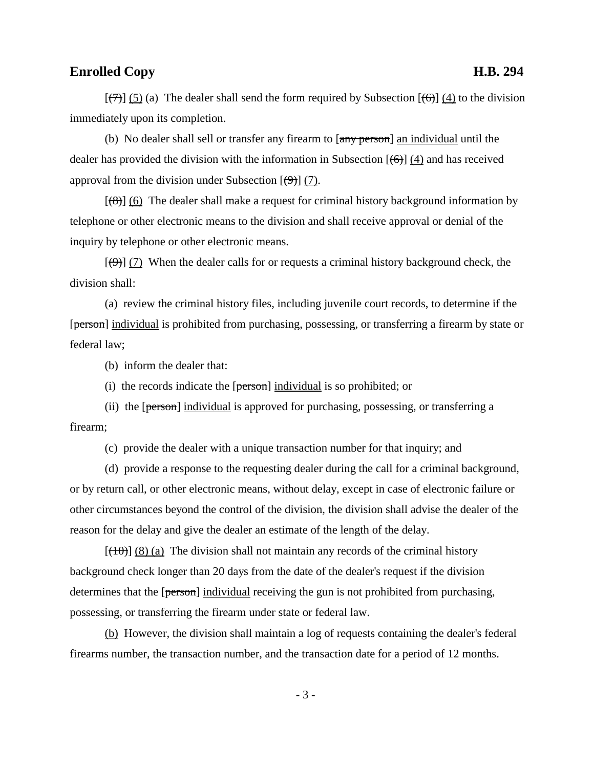## **Enrolled Copy H.B. 294**

 $[\overline{(\tau)}]$  (5) (a) The dealer shall send the form required by Subsection  $[\overline{(\tau)}]$  (4) to the division immediately upon its completion.

(b) No dealer shall sell or transfer any firearm to  $\frac{1}{2}$  and individual until the dealer has provided the division with the information in Subsection  $[(6)]$  (4) and has received approval from the division under Subsection  $[\Theta]$  (7).

 $[(8)]$  (6) The dealer shall make a request for criminal history background information by telephone or other electronic means to the division and shall receive approval or denial of the inquiry by telephone or other electronic means.

 $[\left(4\right)]$  (7) When the dealer calls for or requests a criminal history background check, the division shall:

(a) review the criminal history files, including juvenile court records, to determine if the [person] individual is prohibited from purchasing, possessing, or transferring a firearm by state or federal law;

(b) inform the dealer that:

(i) the records indicate the  $[person]$  individual is so prohibited; or

(ii) the [person] individual is approved for purchasing, possessing, or transferring a firearm;

(c) provide the dealer with a unique transaction number for that inquiry; and

(d) provide a response to the requesting dealer during the call for a criminal background, or by return call, or other electronic means, without delay, except in case of electronic failure or other circumstances beyond the control of the division, the division shall advise the dealer of the reason for the delay and give the dealer an estimate of the length of the delay.

 $[\frac{10}{10}]$  (8) (a) The division shall not maintain any records of the criminal history background check longer than 20 days from the date of the dealer's request if the division determines that the [person] individual receiving the gun is not prohibited from purchasing, possessing, or transferring the firearm under state or federal law.

(b) However, the division shall maintain a log of requests containing the dealer's federal firearms number, the transaction number, and the transaction date for a period of 12 months.